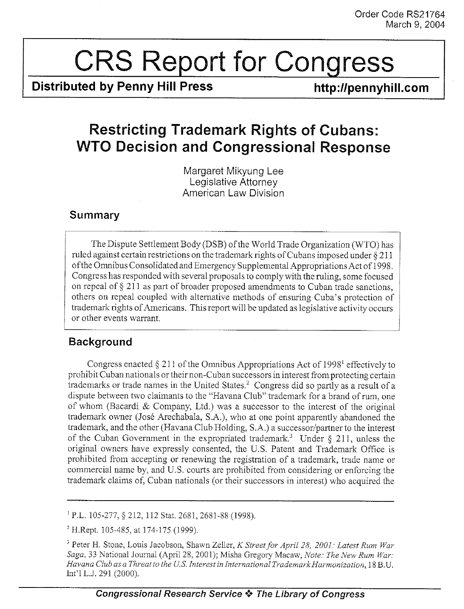# $\begin{array}{|c|c|}\n\hline\n\text{CRS}\n\end{array}$

Distributed by Penny Hill Press

http://pennyhill.com

## Order Coder Congress<br>
Distributed by Penny Hill Press<br>
Restricting Trademark Rights of Cubans:<br>
WTO Decision and Congressional Response<br>
Margaret Mikyung Lee<br>
Legislative Atterney<br>
American Law Division Restricting Trademark Rights of Cubans : WTO Decision and Congressional Response

Margaret Mikyung Lee Legislative Attorney American Law Division

### Summary

The Dispute Settlement Body (DSB) of the World Trade Organization (WTO) has ruled against certain restrictions on the trademark rights of Cubans imposed under § 211 ofthe Omnibus Consolidated and Emergency Supplemental Appropriations Act of 1998 . Congress has responded with several proposals to comply with the ruling, some focused on repeal of § 211 as part of broader proposed amendments to Cuban trade sanctions, others on repeal coupled with alternative methods of ensuring Cuba's protection of trademark rights of Americans . This report will be updated as legislative activity occurs or other events warrant.

## Background

Congress enacted § 211 of the Omnibus Appropriations Act of 1998' effectively to prohibit Cuban nationals or their non-Cuban successors in interest fromprotecting certain trademarks or trade names in the United States .' Congress did so partly as a result of a dispute between two claimants to the "Havana Club" trademark for a brand of rum, one of whom (Bacardi & Company, Ltd.) was a successor to the interest of the original trademark owner (José Arechabala, S.A.), who at one point apparently abandoned the trademark, and the other (Havana Club Holding, S.A.) a successor/partner to the interest of the Cuban Government in the expropriated trademark.<sup>3</sup> Under  $\S$  211, unless the original owners have expressly consented, the U.S . Patent and Trademark Office is prohibited from accepting or renewing the registration of a trademark, trade name or commercial name by, and U,S . courts are prohibited from considering or enforcing the trademark claims of, Cuban nationals (or their successors in interest) who acquired the

' P.L . 105-277, § 212, 112 Stat . 2681, 2681-88 (1998) .

 $2$  H.Rept. 105-485, at 174-175 (1999).

<sup>3</sup> Peter H. Stone, Louis Jacobson, Shawn Zeller, K Street for April 28, 2001: Latest Rum War Saga, 33 National Journal (April 28, 2001); Misha Gregory Macaw, Note: The New Rum War: Havana Club as a Threat to the U.S. Interest in International Trademark Harmonization, 18 B.U. Int'l L.J. 291 (2000).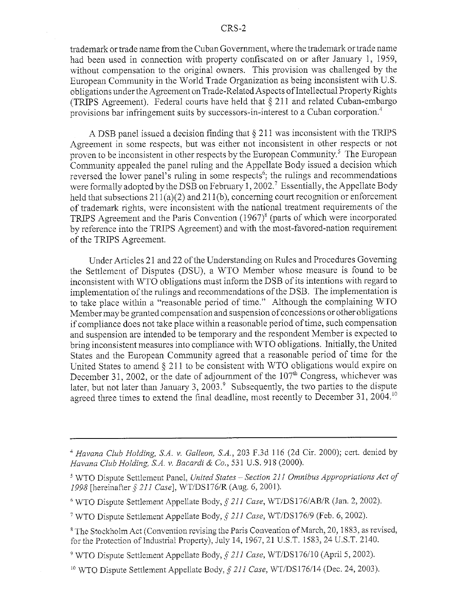trademark or trade name from the Cuban Government, where the trademark or trade name had been used in connection with property confiscated on or after January 1, 1959, without compensation to the original owners. This provision was challenged by the European Community in the World Trade Organization as being inconsistent with U .S . obligations under the Agreement on Trade-Related Aspects of Intellectual Property Rights (TRIPS Agreement). Federal courts have held that § 211 and related Cuban-embargo provisions bar infringement suits by successors-in-interest to a Cuban corporation .'

A DSB panel issued a decision finding that § 211 was inconsistent with the TRIPS Agreement in some respects, but was either not inconsistent in other respects or not proven to be inconsistent in other respects by the European Community.<sup>5</sup> The European Community appealed the panel ruling and the Appellate Body issued a decision which reversed the lower panel's ruling in some respects<sup>6</sup>; the rulings and recommendations were formally adopted by the DSB on February 1, 2002.<sup>7</sup> Essentially, the Appellate Body held that subsections  $211(a)(2)$  and  $211(b)$ , concerning court recognition or enforcement of trademark rights, were inconsistent with the national treatment requirements of the TRIPS Agreement and the Paris Convention (1967)<sup>8</sup> (parts of which were incorporated by reference into the TRIPS Agreement) and with the most-favored-nation requirement of the TRIPS Agreement.

Under Articles 21 and 22 of the Understanding on Rules and Procedures Governing the Settlement of Disputes (DSU), a WTO Member whose measure is found to be inconsistent with WTO obligations must inform the DSB of its intentions with regard to implementation of the rulings and recommendations of the DSB . The implementation is to take place within a "reasonable period of time." Although the complaining WTO Member maybe granted compensation and suspension of concessions or other obligations if compliance does not take place within a reasonable period of time, such compensation and suspension are intended to be temporary and the respondent Member is expected to bring inconsistent measures into compliance with WTO obligations . Initially, the United States and the European Community agreed that a reasonable period of time for the United States to amend § 211 to be consistent with WTO obligations would expire on December 31, 2002, or the date of adjournment of the  $107<sup>th</sup>$  Congress, whichever was later, but not later than January 3, 2003. $\degree$  Subsequently, the two parties to the dispute agreed three times to extend the final deadline, most recently to December 31, 2004.<sup>10</sup>

<sup>6</sup> WTO Dispute Settlement Appellate Body, § 211 Case, WT/DS176/AB/R (Jan. 2, 2002).

<sup>10</sup> WTO Dispute Settlement Appellate Body,  $\S$  211 Case, WT/DS176/14 (Dec. 24, 2003).

<sup>&</sup>lt;sup>4</sup> Havana Club Holding, S.A. v. Galleon, S.A., 203 F.3d 116 (2d Cir. 2000); cert. denied by Havana Club Holding, S.A. v. Bacardi & Co., 531 U.S. 918 (2000).

<sup>&#</sup>x27; WTO Dispute Settlement Panel, United States-Section 211 Omnibus Appropriations Act of 1998 [hereinafter § 211 Case], WT/DS176/R (Aug. 6, 2001).

WTO Dispute Settlement Appellate Body,  $\frac{1}{2}$  211 Case, W1/DS176/9 (Feb. 6, 2002).

<sup>&</sup>lt;sup>8</sup> The Stockholm Act (Convention revising the Paris Convention of March, 20, 1883, as revised, for the Protection of Industrial Property), July 14, 1967, 21 U.S .T. 1583, 24 U .S .T. 2140.

WTO Dispute Settlement Appellate Body,  $\S 211$  Case, WT/DS176/10 (April 5, 2002).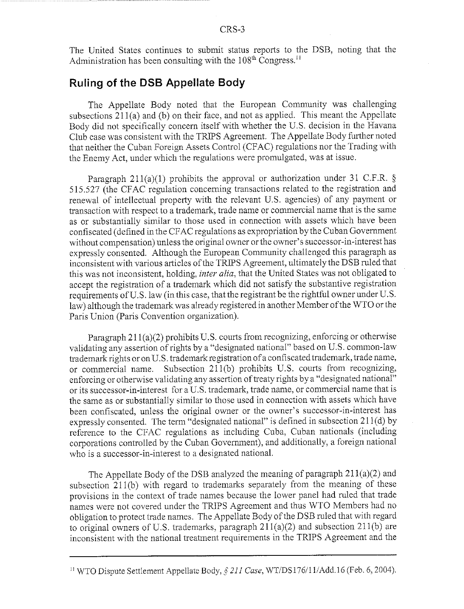The United States continues to submit status reports to the DSB, noting that the Administration has been consulting with the  $108<sup>th</sup>$  Congress.<sup>11</sup>

### Ruling of the DSB Appellate Body

The Appellate Body noted that the European Community was challenging subsections  $211(a)$  and (b) on their face, and not as applied. This meant the Appellate Body did not specifically concern itself with whether the U.S. decision in the Havana Club case was consistent with the TRIPS Agreement. The Appellate Body further noted that neither the Cuban Foreign Assets Control (CFAC) regulations nor the Trading with the Enemy Act, under which the regulations were promulgated, was at issue,

Paragraph 211(a)(1) prohibits the approval or authorization under 31 C.F.R. § 515 .527 (the CFAC regulation concerning transactions related to the registration and renewal of intellectual property with the relevant U.S. agencies) of any payment or transaction with respect to a trademark, trade name or commercial name that is the same as or substantially similar to those used in connection with assets which have been confiscated (defined in the CFAC regulations as expropriation by the Cuban Government without compensation) unless the original owner or the owner's successor-in-interest has expressly consented. Although the European Community challenged this paragraph as inconsistent with various articles of the TRIPS Agreement, ultimately the DSB ruled that this was not inconsistent, holding, inter alia, that the United States was not obligated to accept the registration of a trademark which did not satisfy the substantive registration requirements of U.S. law (in this case, that the registrant be the rightful owner under U.S. law) although the trademark was already registered in another Member ofthe WTO or the Paris Union (Paris Convention organization).

Paragraph  $211(a)(2)$  prohibits U.S. courts from recognizing, enforcing or otherwise validating any assertion of rights by a "designated national" based on U .S . common-law trademark rights or on U .S . trademark registration of a confiscated trademark, trade name, or commercial name . Subsection 211(b) prohibits U.S . courts from recognizing, enforcing or otherwise validating any assertion of treaty rights bya "designated national" or its successor-in-interest for a U .S . trademark, trade name, or commercial name that is the same as or substantially similar to those used in connection with assets which have been confiscated, unless the original owner or the owner's successor-in-interest has expressly consented. The term "designated national" is defined in subsection  $211(d)$  by reference to the CFAC regulations as including Cuba, Cuban nationals (including corporations controlled by the Cuban Government), and additionally, a foreign national who is a successor-in-interest to a designated national.

The Appellate Body of the DSB analyzed the meaning of paragraph 211(a)(2) and subsection 211(b) with regard to trademarks separately from the meaning of these provisions in the context of trade names because the lower panel had ruled that trade names were not covered under the TRIPS Agreement and thus WTO Members had no obligation to protect trade names . The Appellate Body of the DSB ruled that with regard to original owners of U.S. trademarks, paragraph  $211(a)(2)$  and subsection  $211(b)$  are inconsistent with the national treatment requirements in the TRIPS Agreement and the

<sup>&</sup>lt;sup>11</sup> WTO Dispute Settlement Appellate Body,  $\S 211$  Case, WT/DS176/11/Add.16 (Feb. 6, 2004).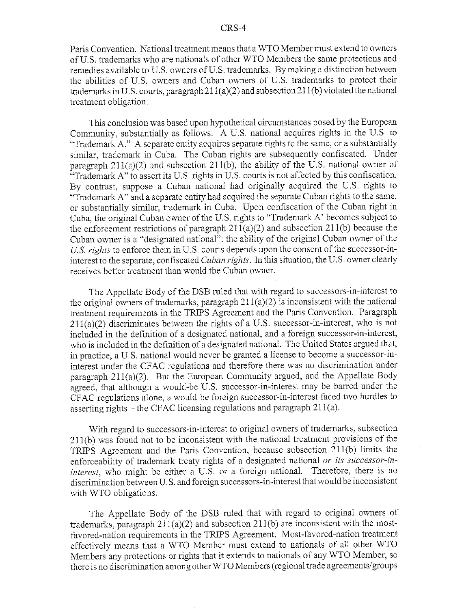Paris Convention. National treatment means that a WTO Member must extend to owners of U.S . trademarks who are nationals of other WTO Members the same protections and remedies available to U.S . owners of U.S . trademarks . By making a distinction between the abilities of U.S. owners and Cuban owners of U.S. trademarks to protect their trademarks in U.S. courts, paragraph  $211(a)(2)$  and subsection  $211(b)$  violated the national treatment obligation.

This conclusion was based upon hypothetical circumstances posed by the European Community, substantially as follows. A U.S. national acquires rights in the U.S. to "Trademark A." A separate entity acquires separate rights to the same, or a substantially similar, trademark in Cuba. The Cuban rights are subsequently confiscated. Under paragraph  $211(a)(2)$  and subsection  $211(b)$ , the ability of the U.S. national owner of "Trademark A" to assert its U.S. rights in U.S. courts is not affected by this confiscation. By contrast, suppose a Cuban. national had originally acquired the U.S . rights to "Trademark A" and a separate entity had acquired the separate Cuban rights to the same, or substantially similar, trademark in Cuba. Upon confiscation of the Cuban right in Cuba, the original Cuban owner of the U .S . rights to "Trademark A' becomes subject to the enforcement restrictions of paragraph  $211(a)(2)$  and subsection  $211(b)$  because the Cuban owner is a "designated national": the ability of the original Cuban owner of the U.S. rights to enforce them in U.S. courts depends upon the consent of the successor-ininterest to the separate, confiscated Cuban rights. In this situation, the U.S. owner clearly receives better treatment than would the Cuban owner .

The Appellate Body of the DSB ruled that with regard to successors-in-interest to the original owners of trademarks, paragraph 211(a)(2) is inconsistent with the national treatment requirements in the TRIPS Agreement and the Paris Convention . Paragraph  $211(a)(2)$  discriminates between the rights of a U.S. successor-in-interest, who is not included in the definition of a designated national, and a foreign successor-in-interest, who is included in the definition of a designated national. The United States argued that, in practice, a U.S . national would never be granted a license to become a successor-ininterest under the CFAC regulations and therefore there was no discrimination under paragraph  $211(a)(2)$ . But the European Community argued, and the Appellate Body agreed, that although a would-be U.S. successor-in-interest may be barred under the CFAC regulations alone, a would-be foreign successor-in-interest faced two hurdles to asserting rights  $-$  the CFAC licensing regulations and paragraph 211(a).

With regard to successors-in-interest to original owners of trademarks, subsection 211(b) was found not to be inconsistent with the national treatment provisions of the TRIPS Agreement and the Paris Convention, because subsection 211(b) limits the enforceability of trademark treaty rights of a designated national or its successor-ininterest, who might be either a U.S. or a foreign national. Therefore, there is no discrimination between U.S. and foreign successors-in-interest that would be inconsistent with WTO obligations.

The Appellate Body of the DSB ruled that with regard to original owners of trademarks, paragraph  $211(a)(2)$  and subsection  $211(b)$  are inconsistent with the mostfavored-nation requirements in the TRIPS Agreement. Most-favored-nation treatment effectively means that a WTO Member must extend to nationals of all other WTO Members any protections or rights that it extends to nationals of any WTO Member, so there is no discrimination among other WTO Members (regional trade agreements/groups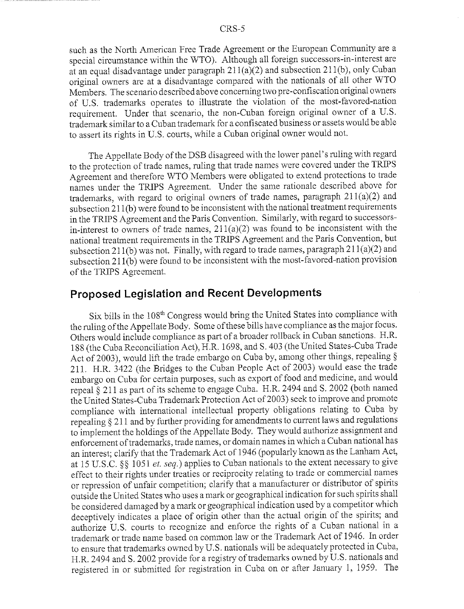such as the North American Free Trade Agreement or the European Community are a special circumstance within the WTO). Although all foreign successors-in-interest are at an equal disadvantage under paragraph 211(a)(2) and subsection 211(b), only Cuban original owners are at a disadvantage compared with the nationals of all other WTO Members. The scenario described above concerning two pre-confiscation original owners of U.S. trademarks operates to illustrate the violation of the most-favored-nation requirement. Under that scenario, the non-Cuban foreign original owner of a U.S. trademark similar to a Cuban trademark for a confiscated business or assets would be able to assert its rights in U.S. courts, while a Cuban original owner would not.

The Appellate Body of the DSB disagreed with the lower panel's ruling with regard to the protection of trade names, ruling that trade names were covered under the TRIPS Agreement and therefore WTO Members were obligated to extend protections to trade names under the TRIPS Agreement. Under the same rationale described above for trademarks, with regard to original owners of trade names, paragraph 211(a)(2) and subsection 211(b) were found to be inconsistent with the national treatment requirements in the TRIPS Agreement and the Paris Convention, Similarly, with regard to successorsin-interest to owners of trade names,  $211(a)(2)$  was found to be inconsistent with the national treatment requirements in the TRIPS Agreement and the Paris Convention, but subsection 211(b) was not. Finally, with regard to trade names, paragraph  $211(a)(2)$  and subsection 211(b) were found to be inconsistent with the most-favored-nation provision of the TRIPS Agreement.

### Proposed Legislation and Recent Developments

Six bills in the 108<sup>th</sup> Congress would bring the United States into compliance with the ruling of the Appellate Body. Some of these bills have compliance as the major focus. Others would include compliance as part of a broader rollback in Cuban sanctions. H.R. 188 (the Cuba Reconciliation Act), H .R. 1698, and S . 403 (the United States-Cuba Trade Act of 2003), would lift the trade embargo on Cuba by, among other things, repealing § 211 . H.R. 3422 (the Bridges to the Cuban People Act of 2003) would ease the trade embargo on Cuba for certain purposes, such as export of food and medicine, and would repeal § 211 as part of its scheme to engage Cuba . H.R. 2494 and S. 2002 (both named the United States-Cuba Trademark Protection Act of 2003) seek to improve and promote compliance with international intellectual property obligations relating to Cuba by repealing § 211 and by further providing for amendments to current laws and regulations to implement the holdings of the Appellate Body . They would authorize assignment and enforcement of trademarks, trade names, or domain names in which a Cuban national has an interest; clarify that the Trademark Act of 1946 (popularly known as the Lanham Act, at 15 U.S.C. §§ 1051 et. seq.) applies to Cuban nationals to the extent necessary to give effect to their rights under treaties or reciprocity relating to trade or commercial names or repression of unfair competition; clarify that a manufacturer or distributor of spirits outside the United States who uses a mark or geographical indication for such spirits shall be considered damaged by a mark or geographical indication used by a competitor which deceptively indicates a place of origin other than the actual origin of the spirits; and authorize U.S. courts to recognize and enforce the rights of a Cuban national in a trademark or trade name based on common law or the Trademark Act of 1946 . In order to ensure that trademarks owned by U .S . nationals will be adequately protected in Cuba, H.R. 2494 and S. 2002 provide for a registry of trademarks owned by U.S. nationals and registered in or submitted for registration in Cuba on or after January 1, 1959 . The